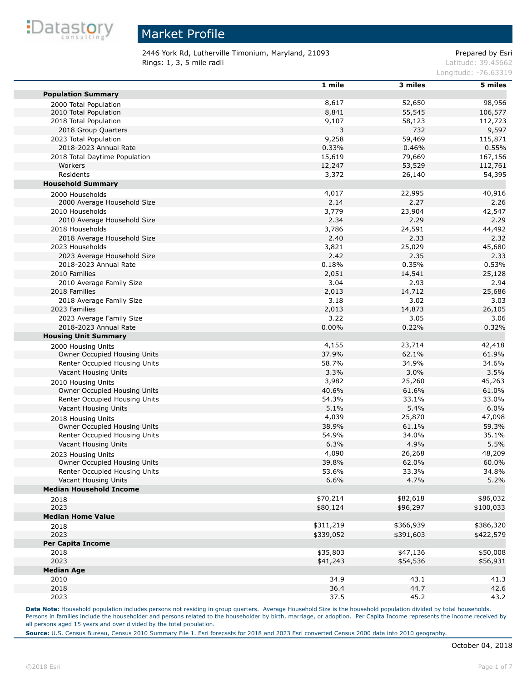

2446 York Rd, Lutherville Timonium, Maryland, 21093 Prepared by Esri **Rings: 1, 3, 5 mile radii Latitude: 39.45662** 

Longitude: -76.63319

|                                | 1 mile    | 3 miles   | 5 miles   |
|--------------------------------|-----------|-----------|-----------|
| <b>Population Summary</b>      |           |           |           |
| 2000 Total Population          | 8,617     | 52,650    | 98,956    |
| 2010 Total Population          | 8,841     | 55,545    | 106,577   |
| 2018 Total Population          | 9,107     | 58,123    | 112,723   |
| 2018 Group Quarters            | 3         | 732       | 9,597     |
| 2023 Total Population          | 9,258     | 59,469    | 115,871   |
| 2018-2023 Annual Rate          | 0.33%     | 0.46%     | 0.55%     |
| 2018 Total Daytime Population  | 15,619    | 79,669    | 167,156   |
| Workers                        | 12,247    | 53,529    | 112,761   |
| Residents                      | 3,372     | 26,140    | 54,395    |
| <b>Household Summary</b>       |           |           |           |
| 2000 Households                | 4,017     | 22,995    | 40,916    |
| 2000 Average Household Size    | 2.14      | 2.27      | 2.26      |
| 2010 Households                | 3,779     | 23,904    | 42,547    |
| 2010 Average Household Size    | 2.34      | 2.29      | 2.29      |
| 2018 Households                | 3,786     | 24,591    | 44,492    |
| 2018 Average Household Size    | 2.40      | 2.33      | 2.32      |
| 2023 Households                | 3,821     | 25,029    | 45,680    |
| 2023 Average Household Size    | 2.42      | 2.35      | 2.33      |
| 2018-2023 Annual Rate          | 0.18%     | 0.35%     | 0.53%     |
| 2010 Families                  | 2,051     | 14,541    | 25,128    |
| 2010 Average Family Size       | 3.04      | 2.93      | 2.94      |
| 2018 Families                  | 2,013     | 14,712    | 25,686    |
| 2018 Average Family Size       | 3.18      | 3.02      | 3.03      |
| 2023 Families                  | 2,013     | 14,873    | 26,105    |
| 2023 Average Family Size       | 3.22      | 3.05      | 3.06      |
| 2018-2023 Annual Rate          | 0.00%     | 0.22%     | 0.32%     |
| <b>Housing Unit Summary</b>    |           |           |           |
| 2000 Housing Units             | 4,155     | 23,714    | 42,418    |
| Owner Occupied Housing Units   | 37.9%     | 62.1%     | 61.9%     |
| Renter Occupied Housing Units  | 58.7%     | 34.9%     | 34.6%     |
| Vacant Housing Units           | 3.3%      | 3.0%      | 3.5%      |
| 2010 Housing Units             | 3,982     | 25,260    | 45,263    |
| Owner Occupied Housing Units   | 40.6%     | 61.6%     | 61.0%     |
| Renter Occupied Housing Units  | 54.3%     | 33.1%     | 33.0%     |
| Vacant Housing Units           | 5.1%      | 5.4%      | 6.0%      |
| 2018 Housing Units             | 4,039     | 25,870    | 47,098    |
| Owner Occupied Housing Units   | 38.9%     | 61.1%     | 59.3%     |
| Renter Occupied Housing Units  | 54.9%     | 34.0%     | 35.1%     |
| Vacant Housing Units           | 6.3%      | 4.9%      | 5.5%      |
| 2023 Housing Units             | 4,090     | 26,268    | 48,209    |
| Owner Occupied Housing Units   | 39.8%     | 62.0%     | 60.0%     |
| Renter Occupied Housing Units  | 53.6%     | 33.3%     | 34.8%     |
| Vacant Housing Units           | 6.6%      | 4.7%      | 5.2%      |
| <b>Median Household Income</b> |           |           |           |
| 2018                           | \$70,214  | \$82,618  | \$86,032  |
| 2023                           | \$80,124  | \$96,297  | \$100,033 |
| <b>Median Home Value</b>       |           |           |           |
| 2018                           | \$311,219 | \$366,939 | \$386,320 |
| 2023                           | \$339,052 | \$391,603 | \$422,579 |
| <b>Per Capita Income</b>       |           |           |           |
| 2018                           | \$35,803  | \$47,136  | \$50,008  |
| 2023                           | \$41,243  | \$54,536  | \$56,931  |
| <b>Median Age</b>              |           |           |           |
| 2010                           | 34.9      | 43.1      | 41.3      |
| 2018                           | 36.4      | 44.7      | 42.6      |
|                                |           |           |           |
| 2023                           | 37.5      | 45.2      | 43.2      |

Data Note: Household population includes persons not residing in group quarters. Average Household Size is the household population divided by total households. Persons in families include the householder and persons related to the householder by birth, marriage, or adoption. Per Capita Income represents the income received by all persons aged 15 years and over divided by the total population.

**Source:** U.S. Census Bureau, Census 2010 Summary File 1. Esri forecasts for 2018 and 2023 Esri converted Census 2000 data into 2010 geography.

×

×

m

П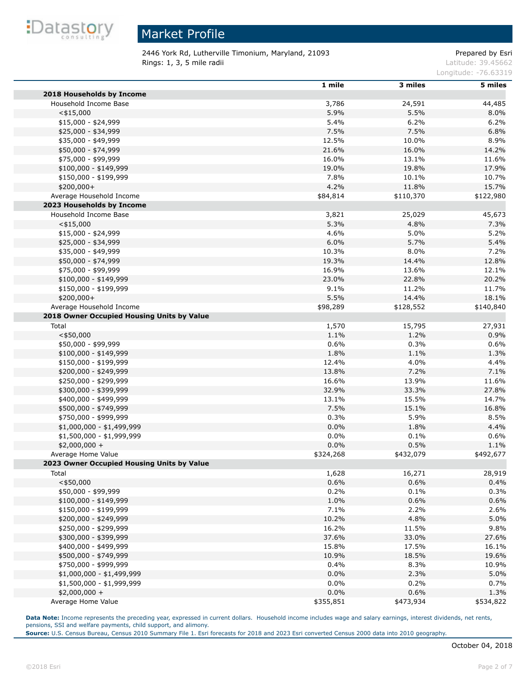

2446 York Rd, Lutherville Timonium, Maryland, 21093 Prepared by Esri **Rings: 1, 3, 5 mile radii Latitude: 39.45662** 

Longitude: -76.63319

|                                            | 1 mile    | 3 miles   | 5 miles   |
|--------------------------------------------|-----------|-----------|-----------|
| 2018 Households by Income                  |           |           |           |
| Household Income Base                      | 3,786     | 24,591    | 44,485    |
| $<$ \$15,000                               | 5.9%      | 5.5%      | 8.0%      |
| $$15,000 - $24,999$                        | 5.4%      | 6.2%      | 6.2%      |
| \$25,000 - \$34,999                        | 7.5%      | 7.5%      | 6.8%      |
| \$35,000 - \$49,999                        | 12.5%     | 10.0%     | 8.9%      |
| \$50,000 - \$74,999                        | 21.6%     | 16.0%     | 14.2%     |
| \$75,000 - \$99,999                        | 16.0%     | 13.1%     | 11.6%     |
| $$100,000 - $149,999$                      | 19.0%     | 19.8%     | 17.9%     |
| \$150,000 - \$199,999                      | 7.8%      | 10.1%     | 10.7%     |
| \$200,000+                                 | 4.2%      | 11.8%     | 15.7%     |
| Average Household Income                   | \$84,814  | \$110,370 | \$122,980 |
| 2023 Households by Income                  |           |           |           |
|                                            |           |           |           |
| Household Income Base                      | 3,821     | 25,029    | 45,673    |
| $<$ \$15,000                               | 5.3%      | 4.8%      | 7.3%      |
| $$15,000 - $24,999$                        | 4.6%      | 5.0%      | 5.2%      |
| \$25,000 - \$34,999                        | 6.0%      | 5.7%      | 5.4%      |
| \$35,000 - \$49,999                        | 10.3%     | 8.0%      | 7.2%      |
| \$50,000 - \$74,999                        | 19.3%     | 14.4%     | 12.8%     |
| \$75,000 - \$99,999                        | 16.9%     | 13.6%     | 12.1%     |
| $$100,000 - $149,999$                      | 23.0%     | 22.8%     | 20.2%     |
| \$150,000 - \$199,999                      | 9.1%      | 11.2%     | 11.7%     |
| \$200,000+                                 | 5.5%      | 14.4%     | 18.1%     |
| Average Household Income                   | \$98,289  | \$128,552 | \$140,840 |
| 2018 Owner Occupied Housing Units by Value |           |           |           |
| Total                                      | 1,570     | 15,795    | 27,931    |
| $<$ \$50,000                               | 1.1%      | 1.2%      | 0.9%      |
| \$50,000 - \$99,999                        | 0.6%      | 0.3%      | 0.6%      |
| $$100,000 - $149,999$                      | 1.8%      | 1.1%      | 1.3%      |
| \$150,000 - \$199,999                      | 12.4%     | 4.0%      | 4.4%      |
| \$200,000 - \$249,999                      | 13.8%     | 7.2%      | 7.1%      |
| \$250,000 - \$299,999                      | 16.6%     | 13.9%     | 11.6%     |
| \$300,000 - \$399,999                      | 32.9%     | 33.3%     | 27.8%     |
| \$400,000 - \$499,999                      | 13.1%     | 15.5%     | 14.7%     |
| \$500,000 - \$749,999                      | 7.5%      | 15.1%     | 16.8%     |
| \$750,000 - \$999,999                      | 0.3%      | 5.9%      | 8.5%      |
| \$1,000,000 - \$1,499,999                  | 0.0%      | 1.8%      | 4.4%      |
| \$1,500,000 - \$1,999,999                  | 0.0%      | 0.1%      | 0.6%      |
| $$2,000,000 +$                             | 0.0%      | 0.5%      | 1.1%      |
| Average Home Value                         | \$324,268 | \$432,079 | \$492,677 |
| 2023 Owner Occupied Housing Units by Value |           |           |           |
| Total                                      | 1,628     | 16,271    | 28,919    |
| $<$ \$50,000                               | 0.6%      | 0.6%      | 0.4%      |
| \$50,000 - \$99,999                        | 0.2%      | 0.1%      | 0.3%      |
| $$100,000 - $149,999$                      | 1.0%      | 0.6%      | 0.6%      |
| \$150,000 - \$199,999                      | 7.1%      | 2.2%      | 2.6%      |
| \$200,000 - \$249,999                      | 10.2%     | 4.8%      | 5.0%      |
| \$250,000 - \$299,999                      | 16.2%     | 11.5%     | 9.8%      |
| \$300,000 - \$399,999                      |           |           |           |
|                                            | 37.6%     | 33.0%     | 27.6%     |
| \$400,000 - \$499,999                      | 15.8%     | 17.5%     | 16.1%     |
| \$500,000 - \$749,999                      | 10.9%     | 18.5%     | 19.6%     |
| \$750,000 - \$999,999                      | 0.4%      | 8.3%      | 10.9%     |
| \$1,000,000 - \$1,499,999                  | 0.0%      | 2.3%      | 5.0%      |
| \$1,500,000 - \$1,999,999                  | 0.0%      | 0.2%      | 0.7%      |
| $$2,000,000 +$                             | 0.0%      | 0.6%      | 1.3%      |
| Average Home Value                         | \$355,851 | \$473,934 | \$534,822 |

Data Note: Income represents the preceding year, expressed in current dollars. Household income includes wage and salary earnings, interest dividends, net rents, pensions, SSI and welfare payments, child support, and alimony.

**Source:** U.S. Census Bureau, Census 2010 Summary File 1. Esri forecasts for 2018 and 2023 Esri converted Census 2000 data into 2010 geography.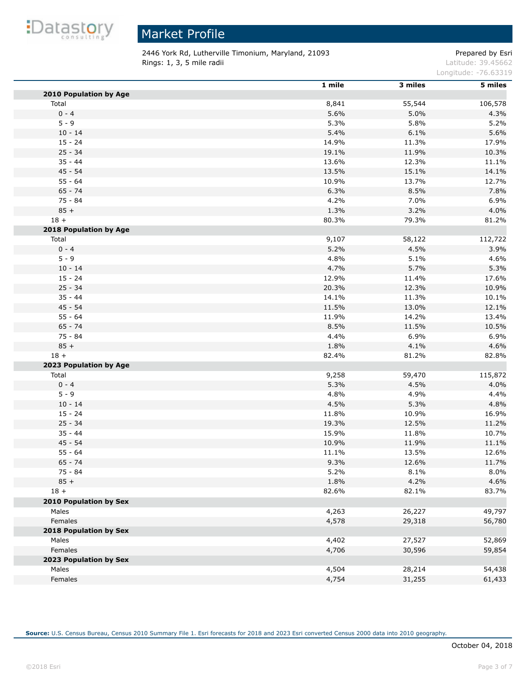

2446 York Rd, Lutherville Timonium, Maryland, 21093 Prepared by Esri **Rings: 1, 3, 5 mile radii Contract Contract Contract Contract Contract Contract Contract Contract Contract Contract Contract Contract Contract Contract Contract Contract Contract Contract Contract Contract Contract Cont** 

Longitude: -76.63319

|                               | 1 mile | 3 miles | 5 miles |
|-------------------------------|--------|---------|---------|
| <b>2010 Population by Age</b> |        |         |         |
| Total                         | 8,841  | 55,544  | 106,578 |
| $0 - 4$                       | 5.6%   | 5.0%    | 4.3%    |
| $5 - 9$                       | 5.3%   | 5.8%    | 5.2%    |
| $10 - 14$                     | 5.4%   | 6.1%    | 5.6%    |
| $15 - 24$                     | 14.9%  | 11.3%   | 17.9%   |
| $25 - 34$                     | 19.1%  | 11.9%   | 10.3%   |
| $35 - 44$                     | 13.6%  | 12.3%   | 11.1%   |
| $45 - 54$                     | 13.5%  | 15.1%   | 14.1%   |
| $55 - 64$                     | 10.9%  | 13.7%   | 12.7%   |
| $65 - 74$                     | 6.3%   | 8.5%    | 7.8%    |
| $75 - 84$                     | 4.2%   | 7.0%    | 6.9%    |
| $85 +$                        | 1.3%   | 3.2%    | 4.0%    |
| $18 +$                        | 80.3%  | 79.3%   | 81.2%   |
| 2018 Population by Age        |        |         |         |
| Total                         | 9,107  | 58,122  | 112,722 |
| $0 - 4$                       | 5.2%   | 4.5%    | 3.9%    |
| $5 - 9$                       | 4.8%   | 5.1%    | 4.6%    |
| $10 - 14$                     | 4.7%   | 5.7%    | 5.3%    |
| $15 - 24$                     | 12.9%  | 11.4%   | 17.6%   |
| $25 - 34$                     | 20.3%  | 12.3%   | 10.9%   |
| $35 - 44$                     | 14.1%  | 11.3%   | 10.1%   |
| $45 - 54$                     | 11.5%  | 13.0%   | 12.1%   |
| $55 - 64$                     | 11.9%  | 14.2%   | 13.4%   |
| $65 - 74$                     | 8.5%   | 11.5%   | 10.5%   |
| 75 - 84                       | 4.4%   | 6.9%    | 6.9%    |
| $85 +$                        | 1.8%   | 4.1%    | 4.6%    |
| $18 +$                        | 82.4%  | 81.2%   | 82.8%   |
| 2023 Population by Age        |        |         |         |
| Total                         | 9,258  | 59,470  | 115,872 |
| $0 - 4$                       | 5.3%   | 4.5%    | 4.0%    |
| $5 - 9$                       | 4.8%   | 4.9%    | 4.4%    |
| $10 - 14$                     | 4.5%   | 5.3%    | 4.8%    |
| $15 - 24$                     | 11.8%  | 10.9%   | 16.9%   |
| $25 - 34$                     | 19.3%  | 12.5%   | 11.2%   |
| $35 - 44$                     | 15.9%  | 11.8%   | 10.7%   |
| $45 - 54$                     | 10.9%  | 11.9%   | 11.1%   |
| $55 - 64$                     | 11.1%  | 13.5%   | 12.6%   |
| $65 - 74$                     | 9.3%   | 12.6%   | 11.7%   |
| 75 - 84                       | 5.2%   | 8.1%    | 8.0%    |
| $85 +$                        | 1.8%   | 4.2%    | 4.6%    |
| $18 +$                        | 82.6%  | 82.1%   | 83.7%   |
| 2010 Population by Sex        |        |         |         |
| Males                         | 4,263  | 26,227  | 49,797  |
| Females                       | 4,578  | 29,318  | 56,780  |
| 2018 Population by Sex        |        |         |         |
| Males                         | 4,402  | 27,527  | 52,869  |
| Females                       | 4,706  | 30,596  | 59,854  |
| 2023 Population by Sex        |        |         |         |
| Males                         | 4,504  | 28,214  | 54,438  |
| Females                       | 4,754  | 31,255  | 61,433  |
|                               |        |         |         |

**Source:** U.S. Census Bureau, Census 2010 Summary File 1. Esri forecasts for 2018 and 2023 Esri converted Census 2000 data into 2010 geography.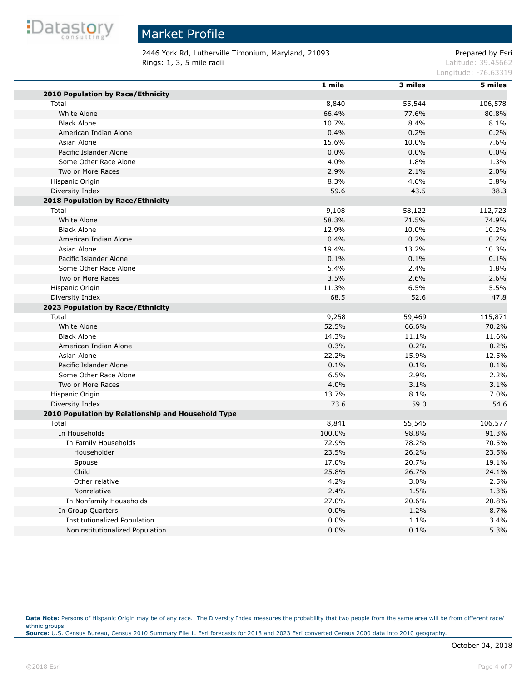

# Market Profile

2446 York Rd, Lutherville Timonium, Maryland, 21093 Prepared by Esri **Rings: 1, 3, 5 mile radii Latitude: 39.45662** 

Longitude: -76.63319

|                                                    | 1 mile | 3 miles | $5$ miles |
|----------------------------------------------------|--------|---------|-----------|
| 2010 Population by Race/Ethnicity                  |        |         |           |
| Total                                              | 8,840  | 55,544  | 106,578   |
| White Alone                                        | 66.4%  | 77.6%   | 80.8%     |
| <b>Black Alone</b>                                 | 10.7%  | 8.4%    | 8.1%      |
| American Indian Alone                              | 0.4%   | 0.2%    | 0.2%      |
| Asian Alone                                        | 15.6%  | 10.0%   | 7.6%      |
| Pacific Islander Alone                             | 0.0%   | 0.0%    | 0.0%      |
| Some Other Race Alone                              | 4.0%   | 1.8%    | 1.3%      |
| Two or More Races                                  | 2.9%   | 2.1%    | 2.0%      |
| Hispanic Origin                                    | 8.3%   | 4.6%    | 3.8%      |
| Diversity Index                                    | 59.6   | 43.5    | 38.3      |
| <b>2018 Population by Race/Ethnicity</b>           |        |         |           |
| Total                                              | 9,108  | 58,122  | 112,723   |
| White Alone                                        | 58.3%  | 71.5%   | 74.9%     |
| <b>Black Alone</b>                                 | 12.9%  | 10.0%   | 10.2%     |
| American Indian Alone                              | 0.4%   | 0.2%    | 0.2%      |
| Asian Alone                                        | 19.4%  | 13.2%   | 10.3%     |
| Pacific Islander Alone                             | 0.1%   | 0.1%    | 0.1%      |
| Some Other Race Alone                              | 5.4%   | 2.4%    | 1.8%      |
| Two or More Races                                  | 3.5%   | 2.6%    | 2.6%      |
| Hispanic Origin                                    | 11.3%  | 6.5%    | 5.5%      |
| Diversity Index                                    | 68.5   | 52.6    | 47.8      |
| 2023 Population by Race/Ethnicity                  |        |         |           |
| Total                                              | 9,258  | 59,469  | 115,871   |
| White Alone                                        | 52.5%  | 66.6%   | 70.2%     |
| <b>Black Alone</b>                                 | 14.3%  | 11.1%   | 11.6%     |
| American Indian Alone                              | 0.3%   | 0.2%    | 0.2%      |
| Asian Alone                                        | 22.2%  | 15.9%   | 12.5%     |
| Pacific Islander Alone                             | 0.1%   | 0.1%    | 0.1%      |
| Some Other Race Alone                              | 6.5%   | 2.9%    | 2.2%      |
| Two or More Races                                  | 4.0%   | 3.1%    | 3.1%      |
| Hispanic Origin                                    | 13.7%  | 8.1%    | 7.0%      |
| Diversity Index                                    | 73.6   | 59.0    | 54.6      |
| 2010 Population by Relationship and Household Type |        |         |           |
| Total                                              | 8,841  | 55,545  | 106,577   |
| In Households                                      | 100.0% | 98.8%   | 91.3%     |
| In Family Households                               | 72.9%  | 78.2%   | 70.5%     |
| Householder                                        | 23.5%  | 26.2%   | 23.5%     |
| Spouse                                             | 17.0%  | 20.7%   | 19.1%     |
| Child                                              | 25.8%  | 26.7%   | 24.1%     |
| Other relative                                     | 4.2%   | 3.0%    | 2.5%      |
| Nonrelative                                        | 2.4%   | 1.5%    | 1.3%      |
| In Nonfamily Households                            | 27.0%  | 20.6%   | 20.8%     |
| In Group Quarters                                  | 0.0%   | 1.2%    | 8.7%      |
| Institutionalized Population                       | 0.0%   | 1.1%    | 3.4%      |
| Noninstitutionalized Population                    | 0.0%   | 0.1%    | 5.3%      |
|                                                    |        |         |           |

Data Note: Persons of Hispanic Origin may be of any race. The Diversity Index measures the probability that two people from the same area will be from different race/ ethnic groups. **Source:** U.S. Census Bureau, Census 2010 Summary File 1. Esri forecasts for 2018 and 2023 Esri converted Census 2000 data into 2010 geography.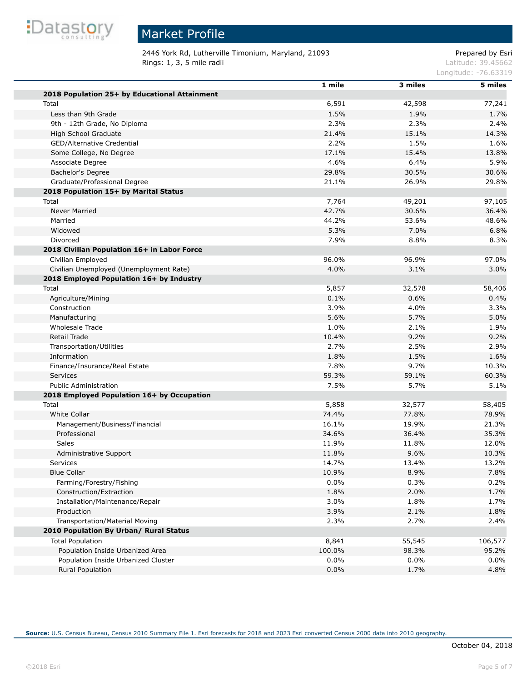

# Market Profile

2446 York Rd, Lutherville Timonium, Maryland, 21093 Prepared by Esri **Rings: 1, 3, 5 mile radii Latitude: 39.45662** 

Longitude: -76.63319

|                                               | 1 mile | 3 miles | 5 miles |
|-----------------------------------------------|--------|---------|---------|
| 2018 Population 25+ by Educational Attainment |        |         |         |
| Total                                         | 6,591  | 42,598  | 77,241  |
| Less than 9th Grade                           | 1.5%   | 1.9%    | 1.7%    |
| 9th - 12th Grade, No Diploma                  | 2.3%   | 2.3%    | 2.4%    |
| High School Graduate                          | 21.4%  | 15.1%   | 14.3%   |
| GED/Alternative Credential                    | 2.2%   | 1.5%    | 1.6%    |
| Some College, No Degree                       | 17.1%  | 15.4%   | 13.8%   |
| Associate Degree                              | 4.6%   | 6.4%    | 5.9%    |
| Bachelor's Degree                             | 29.8%  | 30.5%   | 30.6%   |
| Graduate/Professional Degree                  | 21.1%  | 26.9%   | 29.8%   |
| 2018 Population 15+ by Marital Status         |        |         |         |
| Total                                         | 7,764  | 49,201  | 97,105  |
| <b>Never Married</b>                          | 42.7%  | 30.6%   | 36.4%   |
| Married                                       | 44.2%  | 53.6%   | 48.6%   |
| Widowed                                       | 5.3%   | 7.0%    | 6.8%    |
| Divorced                                      | 7.9%   | 8.8%    | 8.3%    |
| 2018 Civilian Population 16+ in Labor Force   |        |         |         |
| Civilian Employed                             | 96.0%  | 96.9%   | 97.0%   |
| Civilian Unemployed (Unemployment Rate)       | 4.0%   | 3.1%    | 3.0%    |
| 2018 Employed Population 16+ by Industry      |        |         |         |
| Total                                         | 5,857  | 32,578  | 58,406  |
| Agriculture/Mining                            | 0.1%   | 0.6%    | 0.4%    |
| Construction                                  | 3.9%   | 4.0%    | 3.3%    |
| Manufacturing                                 | 5.6%   | 5.7%    | 5.0%    |
| <b>Wholesale Trade</b>                        | 1.0%   | 2.1%    | 1.9%    |
| Retail Trade                                  | 10.4%  | 9.2%    | 9.2%    |
| Transportation/Utilities                      | 2.7%   | 2.5%    | 2.9%    |
| Information                                   | 1.8%   | 1.5%    | 1.6%    |
| Finance/Insurance/Real Estate                 | 7.8%   | 9.7%    | 10.3%   |
| <b>Services</b>                               | 59.3%  | 59.1%   | 60.3%   |
| <b>Public Administration</b>                  | 7.5%   | 5.7%    | 5.1%    |
| 2018 Employed Population 16+ by Occupation    |        |         |         |
| Total                                         | 5,858  | 32,577  | 58,405  |
| <b>White Collar</b>                           | 74.4%  | 77.8%   | 78.9%   |
| Management/Business/Financial                 | 16.1%  | 19.9%   | 21.3%   |
| Professional                                  | 34.6%  | 36.4%   | 35.3%   |
| Sales                                         | 11.9%  | 11.8%   | 12.0%   |
| Administrative Support                        | 11.8%  | 9.6%    | 10.3%   |
| Services                                      | 14.7%  | 13.4%   | 13.2%   |
| <b>Blue Collar</b>                            | 10.9%  | 8.9%    | 7.8%    |
| Farming/Forestry/Fishing                      | 0.0%   | 0.3%    | 0.2%    |
| Construction/Extraction                       | 1.8%   | 2.0%    | 1.7%    |
| Installation/Maintenance/Repair               | 3.0%   | 1.8%    | 1.7%    |
| Production                                    | 3.9%   | 2.1%    | 1.8%    |
| Transportation/Material Moving                | 2.3%   | 2.7%    | 2.4%    |
| 2010 Population By Urban/ Rural Status        |        |         |         |
| <b>Total Population</b>                       | 8,841  | 55,545  | 106,577 |
| Population Inside Urbanized Area              | 100.0% | 98.3%   | 95.2%   |
| Population Inside Urbanized Cluster           | 0.0%   | 0.0%    | $0.0\%$ |
| Rural Population                              | 0.0%   | 1.7%    | 4.8%    |
|                                               |        |         |         |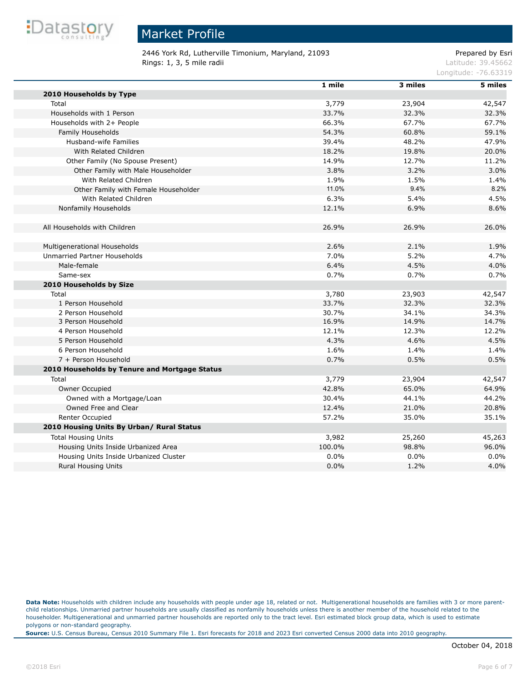

a.

#### Market Profile

2446 York Rd, Lutherville Timonium, Maryland, 21093 Prepared by Esri **Rings: 1, 3, 5 mile radii Latitude: 39.45662** 

Longitude: -76.63319

|                                               | 1 mile | 3 miles | 5 miles |
|-----------------------------------------------|--------|---------|---------|
| 2010 Households by Type                       |        |         |         |
| Total                                         | 3,779  | 23,904  | 42,547  |
| Households with 1 Person                      | 33.7%  | 32.3%   | 32.3%   |
| Households with 2+ People                     | 66.3%  | 67.7%   | 67.7%   |
| Family Households                             | 54.3%  | 60.8%   | 59.1%   |
| Husband-wife Families                         | 39.4%  | 48.2%   | 47.9%   |
| With Related Children                         | 18.2%  | 19.8%   | 20.0%   |
| Other Family (No Spouse Present)              | 14.9%  | 12.7%   | 11.2%   |
| Other Family with Male Householder            | 3.8%   | 3.2%    | 3.0%    |
| With Related Children                         | 1.9%   | 1.5%    | 1.4%    |
| Other Family with Female Householder          | 11.0%  | 9.4%    | 8.2%    |
| With Related Children                         | 6.3%   | 5.4%    | 4.5%    |
| Nonfamily Households                          | 12.1%  | 6.9%    | 8.6%    |
|                                               |        |         |         |
| All Households with Children                  | 26.9%  | 26.9%   | 26.0%   |
| Multigenerational Households                  | 2.6%   | 2.1%    | 1.9%    |
| Unmarried Partner Households                  | 7.0%   | 5.2%    | 4.7%    |
| Male-female                                   | 6.4%   | 4.5%    | 4.0%    |
| Same-sex                                      | 0.7%   | 0.7%    | 0.7%    |
| 2010 Households by Size                       |        |         |         |
| Total                                         | 3,780  | 23,903  | 42,547  |
| 1 Person Household                            | 33.7%  | 32.3%   | 32.3%   |
| 2 Person Household                            | 30.7%  | 34.1%   | 34.3%   |
| 3 Person Household                            | 16.9%  | 14.9%   | 14.7%   |
| 4 Person Household                            | 12.1%  | 12.3%   | 12.2%   |
| 5 Person Household                            | 4.3%   | 4.6%    | 4.5%    |
| 6 Person Household                            | 1.6%   | 1.4%    | 1.4%    |
| 7 + Person Household                          | 0.7%   | 0.5%    | 0.5%    |
| 2010 Households by Tenure and Mortgage Status |        |         |         |
| Total                                         | 3,779  | 23,904  | 42,547  |
| Owner Occupied                                | 42.8%  | 65.0%   | 64.9%   |
| Owned with a Mortgage/Loan                    | 30.4%  | 44.1%   | 44.2%   |
| Owned Free and Clear                          | 12.4%  | 21.0%   | 20.8%   |
| Renter Occupied                               | 57.2%  | 35.0%   | 35.1%   |
| 2010 Housing Units By Urban/ Rural Status     |        |         |         |
| <b>Total Housing Units</b>                    | 3,982  | 25,260  | 45,263  |
| Housing Units Inside Urbanized Area           | 100.0% | 98.8%   | 96.0%   |
| Housing Units Inside Urbanized Cluster        | 0.0%   | 0.0%    | 0.0%    |
| <b>Rural Housing Units</b>                    | 0.0%   | 1.2%    | 4.0%    |
|                                               |        |         |         |

Data Note: Households with children include any households with people under age 18, related or not. Multigenerational households are families with 3 or more parentchild relationships. Unmarried partner households are usually classified as nonfamily households unless there is another member of the household related to the householder. Multigenerational and unmarried partner households are reported only to the tract level. Esri estimated block group data, which is used to estimate polygons or non-standard geography.

**Source:** U.S. Census Bureau, Census 2010 Summary File 1. Esri forecasts for 2018 and 2023 Esri converted Census 2000 data into 2010 geography.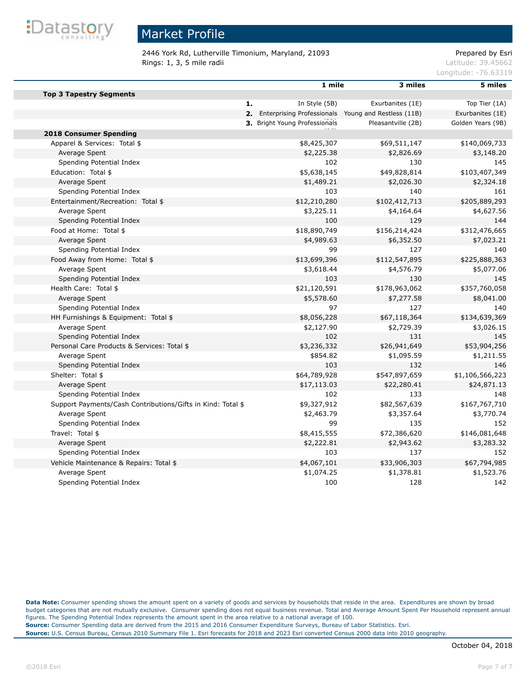

2446 York Rd, Lutherville Timonium, Maryland, 21093 Prepared by Esri **Rings: 1, 3, 5 mile radii Latitude: 39.45662** 

Longitude: -76.63319

|                                                             | 1 mile                                                        | 3 miles            | 5 miles           |
|-------------------------------------------------------------|---------------------------------------------------------------|--------------------|-------------------|
| <b>Top 3 Tapestry Segments</b>                              |                                                               |                    |                   |
|                                                             | In Style (5B)<br>1.                                           | Exurbanites (1E)   | Top Tier (1A)     |
|                                                             | <b>2.</b> Enterprising Professionals Young and Restless (11B) |                    | Exurbanites (1E)  |
|                                                             | 3. Bright Young Professionals                                 | Pleasantville (2B) | Golden Years (9B) |
| <b>2018 Consumer Spending</b>                               |                                                               |                    |                   |
| Apparel & Services: Total \$                                | \$8,425,307                                                   | \$69,511,147       | \$140,069,733     |
| Average Spent                                               | \$2,225.38                                                    | \$2,826.69         | \$3,148.20        |
| Spending Potential Index                                    | 102                                                           | 130                | 145               |
| Education: Total \$                                         | \$5,638,145                                                   | \$49,828,814       | \$103,407,349     |
| Average Spent                                               | \$1,489.21                                                    | \$2,026.30         | \$2,324.18        |
| Spending Potential Index                                    | 103                                                           | 140                | 161               |
| Entertainment/Recreation: Total \$                          | \$12,210,280                                                  | \$102,412,713      | \$205,889,293     |
| Average Spent                                               | \$3,225.11                                                    | \$4,164.64         | \$4,627.56        |
| Spending Potential Index                                    | 100                                                           | 129                | 144               |
| Food at Home: Total \$                                      | \$18,890,749                                                  | \$156,214,424      | \$312,476,665     |
| Average Spent                                               | \$4,989.63                                                    | \$6,352.50         | \$7,023.21        |
| Spending Potential Index                                    | 99                                                            | 127                | 140               |
| Food Away from Home: Total \$                               | \$13,699,396                                                  | \$112,547,895      | \$225,888,363     |
| Average Spent                                               | \$3,618.44                                                    | \$4,576.79         | \$5,077.06        |
| Spending Potential Index                                    | 103                                                           | 130                | 145               |
| Health Care: Total \$                                       | \$21,120,591                                                  | \$178,963,062      | \$357,760,058     |
| Average Spent                                               | \$5,578.60                                                    | \$7,277.58         | \$8,041.00        |
| Spending Potential Index                                    | 97                                                            | 127                | 140               |
| HH Furnishings & Equipment: Total \$                        | \$8,056,228                                                   | \$67,118,364       | \$134,639,369     |
| Average Spent                                               | \$2,127.90                                                    | \$2,729.39         | \$3,026.15        |
| Spending Potential Index                                    | 102                                                           | 131                | 145               |
| Personal Care Products & Services: Total \$                 | \$3,236,332                                                   | \$26,941,649       | \$53,904,256      |
| Average Spent                                               | \$854.82                                                      | \$1,095.59         | \$1,211.55        |
| Spending Potential Index                                    | 103                                                           | 132                | 146               |
| Shelter: Total \$                                           | \$64,789,928                                                  | \$547,897,659      | \$1,106,566,223   |
| Average Spent                                               | \$17,113.03                                                   | \$22,280.41        | \$24,871.13       |
| Spending Potential Index                                    | 102                                                           | 133                | 148               |
| Support Payments/Cash Contributions/Gifts in Kind: Total \$ | \$9,327,912                                                   | \$82,567,639       | \$167,767,710     |
| Average Spent                                               | \$2,463.79                                                    | \$3,357.64         | \$3,770.74        |
| Spending Potential Index                                    | 99                                                            | 135                | 152               |
| Travel: Total \$                                            | \$8,415,555                                                   | \$72,386,620       | \$146,081,648     |
| Average Spent                                               | \$2,222.81                                                    | \$2,943.62         | \$3,283.32        |
| Spending Potential Index                                    | 103                                                           | 137                | 152               |
| Vehicle Maintenance & Repairs: Total \$                     | \$4,067,101                                                   | \$33,906,303       | \$67,794,985      |
| Average Spent                                               | \$1,074.25                                                    | \$1,378.81         | \$1,523.76        |
| Spending Potential Index                                    | 100                                                           | 128                | 142               |

**Data Note:** Consumer spending shows the amount spent on a variety of goods and services by households that reside in the area. Expenditures are shown by broad budget categories that are not mutually exclusive. Consumer spending does not equal business revenue. Total and Average Amount Spent Per Household represent annual figures. The Spending Potential Index represents the amount spent in the area relative to a national average of 100. **Source:** Consumer Spending data are derived from the 2015 and 2016 Consumer Expenditure Surveys, Bureau of Labor Statistics. Esri. **Source:** U.S. Census Bureau, Census 2010 Summary File 1. Esri forecasts for 2018 and 2023 Esri converted Census 2000 data into 2010 geography.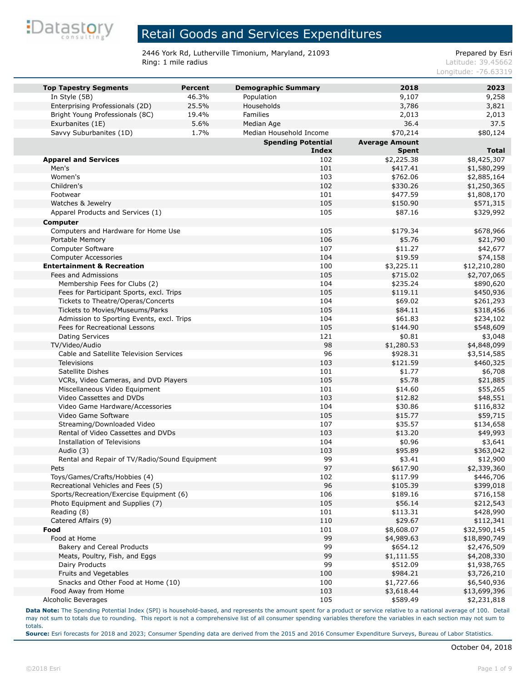

2446 York Rd, Lutherville Timonium, Maryland, 21093<br>Ring: 1 mile radius Ring: 1 mile radius

Latitude: 39.45662 Longitude: -76.63319

| <b>Top Tapestry Segments</b>                  | <b>Percent</b> | <b>Demographic Summary</b> | 2018                   | 2023                        |
|-----------------------------------------------|----------------|----------------------------|------------------------|-----------------------------|
| In Style (5B)                                 | 46.3%          | Population                 | 9,107                  | 9,258                       |
| Enterprising Professionals (2D)               | 25.5%          | Households                 | 3,786                  | 3,821                       |
| Bright Young Professionals (8C)               | 19.4%          | <b>Families</b>            | 2,013                  | 2,013                       |
| Exurbanites (1E)                              | 5.6%           | Median Age                 | 36.4                   | 37.5                        |
| Savvy Suburbanites (1D)                       | 1.7%           | Median Household Income    | \$70,214               | \$80,124                    |
|                                               |                | <b>Spending Potential</b>  | <b>Average Amount</b>  |                             |
|                                               |                | <b>Index</b>               | <b>Spent</b>           | <b>Total</b>                |
| <b>Apparel and Services</b>                   |                | 102                        | \$2,225.38             | \$8,425,307                 |
| Men's                                         |                | 101                        | \$417.41               | \$1,580,299                 |
| Women's                                       |                | 103                        | \$762.06               | \$2,885,164                 |
| Children's                                    |                | 102                        | \$330.26               | \$1,250,365                 |
| Footwear                                      |                | 101                        | \$477.59               | \$1,808,170                 |
| Watches & Jewelry                             |                | 105                        | \$150.90               | \$571,315                   |
| Apparel Products and Services (1)             |                | 105                        | \$87.16                | \$329,992                   |
| Computer                                      |                |                            |                        |                             |
| Computers and Hardware for Home Use           |                | 105                        | \$179.34               | \$678,966                   |
| Portable Memory                               |                | 106                        | \$5.76                 | \$21,790                    |
| Computer Software                             |                | 107                        | \$11.27                | \$42,677                    |
| <b>Computer Accessories</b>                   |                | 104                        | \$19.59                | \$74,158                    |
| <b>Entertainment &amp; Recreation</b>         |                | 100                        | \$3,225.11             | \$12,210,280                |
| Fees and Admissions                           |                | 105                        | \$715.02               | \$2,707,065                 |
| Membership Fees for Clubs (2)                 |                | 104                        | \$235.24               | \$890,620                   |
| Fees for Participant Sports, excl. Trips      |                | 105                        | \$119.11               | \$450,936                   |
| Tickets to Theatre/Operas/Concerts            |                | 104                        | \$69.02                | \$261,293                   |
| Tickets to Movies/Museums/Parks               |                | 105                        | \$84.11                | \$318,456                   |
| Admission to Sporting Events, excl. Trips     |                | 104                        | \$61.83                | \$234,102                   |
| Fees for Recreational Lessons                 |                | 105                        | \$144.90               | \$548,609                   |
| <b>Dating Services</b>                        |                | 121                        | \$0.81                 | \$3,048                     |
| TV/Video/Audio                                |                | 98                         | \$1,280.53             | \$4,848,099                 |
| Cable and Satellite Television Services       |                | 96                         | \$928.31               | \$3,514,585                 |
| <b>Televisions</b>                            |                | 103                        | \$121.59               | \$460,325                   |
| Satellite Dishes                              |                | 101                        | \$1.77                 | \$6,708                     |
| VCRs, Video Cameras, and DVD Players          |                | 105                        | \$5.78                 | \$21,885                    |
| Miscellaneous Video Equipment                 |                | 101                        | \$14.60                | \$55,265                    |
| Video Cassettes and DVDs                      |                | 103                        | \$12.82                | \$48,551                    |
| Video Game Hardware/Accessories               |                | 104                        | \$30.86                | \$116,832                   |
| Video Game Software                           |                | 105                        | \$15.77                | \$59,715                    |
| Streaming/Downloaded Video                    |                | 107                        | \$35.57                | \$134,658                   |
| Rental of Video Cassettes and DVDs            |                | 103                        | \$13.20                | \$49,993                    |
| <b>Installation of Televisions</b>            |                | 104                        | \$0.96                 | \$3,641                     |
| Audio (3)                                     |                | 103                        | \$95.89                | \$363,042                   |
| Rental and Repair of TV/Radio/Sound Equipment |                | 99                         | \$3.41                 | \$12,900                    |
| Pets                                          |                | 97                         | \$617.90               | \$2,339,360                 |
| Toys/Games/Crafts/Hobbies (4)                 |                | 102                        | \$117.99               | \$446,706                   |
| Recreational Vehicles and Fees (5)            |                | 96                         | \$105.39               | \$399,018                   |
| Sports/Recreation/Exercise Equipment (6)      |                | 106                        | \$189.16               | \$716,158                   |
| Photo Equipment and Supplies (7)              |                | 105                        | \$56.14                | \$212,543                   |
| Reading (8)                                   |                | 101                        | \$113.31               | \$428,990                   |
| Catered Affairs (9)                           |                | 110                        | \$29.67                | \$112,341                   |
| Food                                          |                | 101                        | \$8,608.07             | \$32,590,145                |
| Food at Home                                  |                | 99                         | \$4,989.63             | \$18,890,749                |
| Bakery and Cereal Products                    |                | 99                         | \$654.12               | \$2,476,509                 |
| Meats, Poultry, Fish, and Eggs                |                | 99                         | \$1,111.55             | \$4,208,330                 |
| Dairy Products                                |                | 99                         | \$512.09               | \$1,938,765                 |
| Fruits and Vegetables                         |                | 100                        | \$984.21               | \$3,726,210                 |
| Snacks and Other Food at Home (10)            |                | 100                        | \$1,727.66             | \$6,540,936                 |
| Food Away from Home<br>Alcoholic Beverages    |                | 103<br>105                 | \$3,618.44<br>\$589.49 | \$13,699,396<br>\$2,231,818 |
|                                               |                |                            |                        |                             |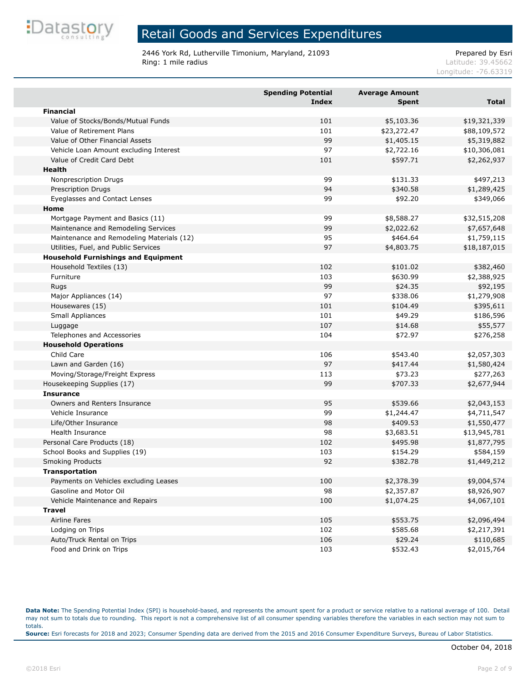

2446 York Rd, Lutherville Timonium, Maryland, 21093<br>Ring: 1 mile radius Ring: 1 mile radius

Latitude: 39.45662 Longitude: -76.63319

|                                            | <b>Spending Potential</b><br><b>Index</b> | <b>Average Amount</b><br><b>Spent</b> | Total        |
|--------------------------------------------|-------------------------------------------|---------------------------------------|--------------|
| <b>Financial</b>                           |                                           |                                       |              |
| Value of Stocks/Bonds/Mutual Funds         | 101                                       | \$5,103.36                            | \$19,321,339 |
| Value of Retirement Plans                  | 101                                       | \$23,272.47                           | \$88,109,572 |
| Value of Other Financial Assets            | 99                                        | \$1,405.15                            | \$5,319,882  |
| Vehicle Loan Amount excluding Interest     | 97                                        | \$2,722.16                            | \$10,306,081 |
| Value of Credit Card Debt                  | 101                                       | \$597.71                              | \$2,262,937  |
| <b>Health</b>                              |                                           |                                       |              |
| Nonprescription Drugs                      | 99                                        | \$131.33                              | \$497,213    |
| Prescription Drugs                         | 94                                        | \$340.58                              | \$1,289,425  |
| Eyeglasses and Contact Lenses              | 99                                        | \$92.20                               | \$349,066    |
| Home                                       |                                           |                                       |              |
| Mortgage Payment and Basics (11)           | 99                                        | \$8,588.27                            | \$32,515,208 |
| Maintenance and Remodeling Services        | 99                                        | \$2,022.62                            | \$7,657,648  |
| Maintenance and Remodeling Materials (12)  | 95                                        | \$464.64                              | \$1,759,115  |
| Utilities, Fuel, and Public Services       | 97                                        | \$4,803.75                            | \$18,187,015 |
| <b>Household Furnishings and Equipment</b> |                                           |                                       |              |
| Household Textiles (13)                    | 102                                       | \$101.02                              | \$382,460    |
| Furniture                                  | 103                                       | \$630.99                              | \$2,388,925  |
| Rugs                                       | 99                                        | \$24.35                               | \$92,195     |
| Major Appliances (14)                      | 97                                        | \$338.06                              | \$1,279,908  |
| Housewares (15)                            | 101                                       | \$104.49                              | \$395,611    |
| Small Appliances                           | 101                                       | \$49.29                               | \$186,596    |
| Luggage                                    | 107                                       | \$14.68                               | \$55,577     |
| Telephones and Accessories                 | 104                                       | \$72.97                               | \$276,258    |
| <b>Household Operations</b>                |                                           |                                       |              |
| Child Care                                 | 106                                       | \$543.40                              | \$2,057,303  |
| Lawn and Garden (16)                       | 97                                        | \$417.44                              | \$1,580,424  |
| Moving/Storage/Freight Express             | 113                                       | \$73.23                               | \$277,263    |
| Housekeeping Supplies (17)                 | 99                                        | \$707.33                              | \$2,677,944  |
| <b>Insurance</b>                           |                                           |                                       |              |
| Owners and Renters Insurance               | 95                                        | \$539.66                              | \$2,043,153  |
| Vehicle Insurance                          | 99                                        | \$1,244.47                            | \$4,711,547  |
| Life/Other Insurance                       | 98                                        | \$409.53                              | \$1,550,477  |
| <b>Health Insurance</b>                    | 98                                        | \$3,683.51                            | \$13,945,781 |
| Personal Care Products (18)                | 102                                       | \$495.98                              | \$1,877,795  |
| School Books and Supplies (19)             | 103                                       | \$154.29                              | \$584,159    |
| <b>Smoking Products</b>                    | 92                                        | \$382.78                              | \$1,449,212  |
| <b>Transportation</b>                      |                                           |                                       |              |
| Payments on Vehicles excluding Leases      | 100                                       | \$2,378.39                            | \$9,004,574  |
| Gasoline and Motor Oil                     | 98                                        | \$2,357.87                            | \$8,926,907  |
| Vehicle Maintenance and Repairs            | 100                                       | \$1,074.25                            | \$4,067,101  |
| <b>Travel</b>                              |                                           |                                       |              |
| Airline Fares                              | 105                                       | \$553.75                              | \$2,096,494  |
| Lodging on Trips                           | 102                                       | \$585.68                              | \$2,217,391  |
| Auto/Truck Rental on Trips                 | 106                                       | \$29.24                               | \$110,685    |
| Food and Drink on Trips                    | 103                                       | \$532.43                              | \$2,015,764  |

**Data Note:** The Spending Potential Index (SPI) is household-based, and represents the amount spent for a product or service relative to a national average of 100. Detail may not sum to totals due to rounding. This report is not a comprehensive list of all consumer spending variables therefore the variables in each section may not sum to totals. **Source:** Esri forecasts for 2018 and 2023; Consumer Spending data are derived from the 2015 and 2016 Consumer Expenditure Surveys, Bureau of Labor Statistics.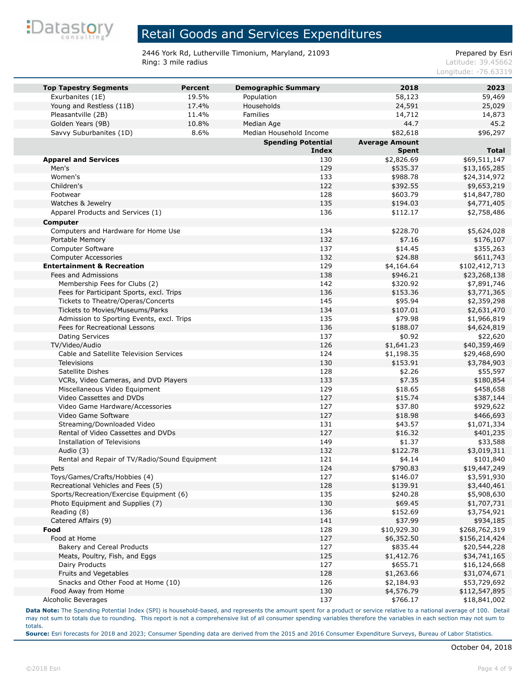

2446 York Rd, Lutherville Timonium, Maryland, 21093<br>Ring: 3 mile radius Prepared by Esri

Latitude: 39.45662 Longitude: -76.63319

| <b>Top Tapestry Segments</b>                  | <b>Percent</b> | <b>Demographic Summary</b> | 2018                  | 2023                   |
|-----------------------------------------------|----------------|----------------------------|-----------------------|------------------------|
| Exurbanites (1E)                              | 19.5%          | Population                 | 58,123                | 59,469                 |
| Young and Restless (11B)                      | 17.4%          | Households                 | 24,591                | 25,029                 |
| Pleasantville (2B)                            | 11.4%          | Families                   | 14,712                | 14,873                 |
| Golden Years (9B)                             | 10.8%          | Median Age                 | 44.7                  | 45.2                   |
| Savvy Suburbanites (1D)                       | 8.6%           | Median Household Income    | \$82,618              | \$96,297               |
|                                               |                | <b>Spending Potential</b>  | <b>Average Amount</b> |                        |
|                                               |                | <b>Index</b>               | <b>Spent</b>          | <b>Total</b>           |
| <b>Apparel and Services</b>                   |                | 130                        | \$2,826.69            | \$69,511,147           |
| Men's                                         |                | 129                        | \$535.37              | \$13,165,285           |
| Women's                                       |                | 133                        | \$988.78              | \$24,314,972           |
| Children's                                    |                | 122                        | \$392.55              | \$9,653,219            |
| Footwear                                      |                | 128                        | \$603.79              | \$14,847,780           |
| Watches & Jewelry                             |                | 135                        | \$194.03              | \$4,771,405            |
| Apparel Products and Services (1)             |                | 136                        | \$112.17              | \$2,758,486            |
| <b>Computer</b>                               |                |                            |                       |                        |
| Computers and Hardware for Home Use           |                | 134                        | \$228.70              | \$5,624,028            |
| Portable Memory                               |                | 132                        | \$7.16                | \$176,107              |
| Computer Software                             |                | 137                        | \$14.45               | \$355,263              |
| <b>Computer Accessories</b>                   |                | 132                        | \$24.88               | \$611,743              |
| <b>Entertainment &amp; Recreation</b>         |                | 129                        | \$4,164.64            | \$102,412,713          |
| Fees and Admissions                           |                | 138                        | \$946.21              | \$23,268,138           |
| Membership Fees for Clubs (2)                 |                | 142                        | \$320.92              | \$7,891,746            |
| Fees for Participant Sports, excl. Trips      |                | 136                        | \$153.36              | \$3,771,365            |
| Tickets to Theatre/Operas/Concerts            |                | 145                        | \$95.94               | \$2,359,298            |
| Tickets to Movies/Museums/Parks               |                | 134                        | \$107.01              | \$2,631,470            |
| Admission to Sporting Events, excl. Trips     |                | 135                        | \$79.98               | \$1,966,819            |
| Fees for Recreational Lessons                 |                | 136                        | \$188.07              | \$4,624,819            |
| Dating Services                               |                | 137                        | \$0.92                | \$22,620               |
| TV/Video/Audio                                |                | 126                        | \$1,641.23            | \$40,359,469           |
| Cable and Satellite Television Services       |                | 124<br>130                 | \$1,198.35            | \$29,468,690           |
| <b>Televisions</b><br>Satellite Dishes        |                | 128                        | \$153.91              | \$3,784,903            |
| VCRs, Video Cameras, and DVD Players          |                | 133                        | \$2.26                | \$55,597               |
| Miscellaneous Video Equipment                 |                | 129                        | \$7.35<br>\$18.65     | \$180,854              |
| Video Cassettes and DVDs                      |                | 127                        | \$15.74               | \$458,658<br>\$387,144 |
| Video Game Hardware/Accessories               |                | 127                        | \$37.80               | \$929,622              |
| Video Game Software                           |                | 127                        | \$18.98               | \$466,693              |
| Streaming/Downloaded Video                    |                | 131                        | \$43.57               | \$1,071,334            |
| Rental of Video Cassettes and DVDs            |                | 127                        | \$16.32               | \$401,235              |
| <b>Installation of Televisions</b>            |                | 149                        | \$1.37                | \$33,588               |
| Audio (3)                                     |                | 132                        | \$122.78              | \$3,019,311            |
| Rental and Repair of TV/Radio/Sound Equipment |                | 121                        | \$4.14                | \$101,840              |
| Pets                                          |                | 124                        | \$790.83              | \$19,447,249           |
| Toys/Games/Crafts/Hobbies (4)                 |                | 127                        | \$146.07              | \$3,591,930            |
| Recreational Vehicles and Fees (5)            |                | 128                        | \$139.91              | \$3,440,461            |
| Sports/Recreation/Exercise Equipment (6)      |                | 135                        | \$240.28              | \$5,908,630            |
| Photo Equipment and Supplies (7)              |                | 130                        | \$69.45               | \$1,707,731            |
| Reading (8)                                   |                | 136                        | \$152.69              | \$3,754,921            |
| Catered Affairs (9)                           |                | 141                        | \$37.99               | \$934,185              |
| Food                                          |                | 128                        | \$10,929.30           | \$268,762,319          |
| Food at Home                                  |                | 127                        | \$6,352.50            | \$156,214,424          |
| Bakery and Cereal Products                    |                | 127                        | \$835.44              | \$20,544,228           |
| Meats, Poultry, Fish, and Eggs                |                | 125                        | \$1,412.76            | \$34,741,165           |
| Dairy Products                                |                | 127                        | \$655.71              | \$16,124,668           |
| Fruits and Vegetables                         |                | 128                        | \$1,263.66            | \$31,074,671           |
| Snacks and Other Food at Home (10)            |                | 126                        | \$2,184.93            | \$53,729,692           |
| Food Away from Home                           |                | 130                        | \$4,576.79            | \$112,547,895          |
| Alcoholic Beverages                           |                | 137                        | \$766.17              | \$18,841,002           |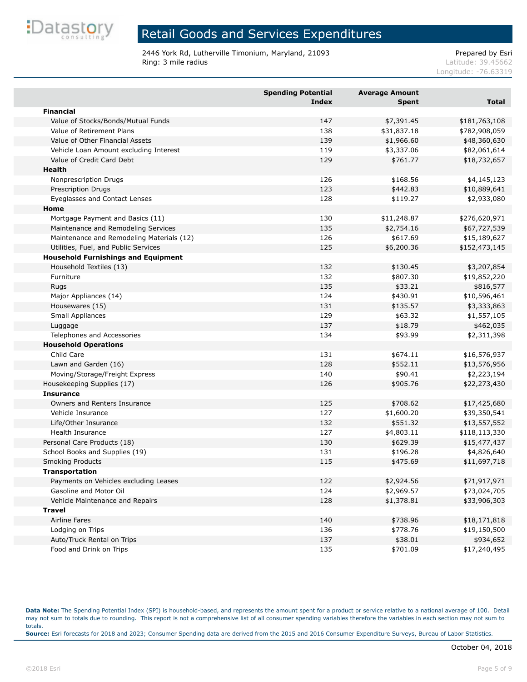

2446 York Rd, Lutherville Timonium, Maryland, 21093<br>Ring: 3 mile radius Prepared by Esri

Latitude: 39.45662

Longitude: -76.63319

|                                            | <b>Spending Potential</b><br><b>Index</b> | <b>Average Amount</b><br><b>Spent</b> | <b>Total</b>  |
|--------------------------------------------|-------------------------------------------|---------------------------------------|---------------|
| <b>Financial</b>                           |                                           |                                       |               |
| Value of Stocks/Bonds/Mutual Funds         | 147                                       | \$7,391.45                            | \$181,763,108 |
| Value of Retirement Plans                  | 138                                       | \$31,837.18                           | \$782,908,059 |
| Value of Other Financial Assets            | 139                                       | \$1,966.60                            | \$48,360,630  |
| Vehicle Loan Amount excluding Interest     | 119                                       | \$3,337.06                            | \$82,061,614  |
| Value of Credit Card Debt                  | 129                                       | \$761.77                              | \$18,732,657  |
| Health                                     |                                           |                                       |               |
| Nonprescription Drugs                      | 126                                       | \$168.56                              | \$4,145,123   |
| Prescription Drugs                         | 123                                       | \$442.83                              | \$10,889,641  |
| Eyeglasses and Contact Lenses              | 128                                       | \$119.27                              | \$2,933,080   |
| Home                                       |                                           |                                       |               |
| Mortgage Payment and Basics (11)           | 130                                       | \$11,248.87                           | \$276,620,971 |
| Maintenance and Remodeling Services        | 135                                       | \$2,754.16                            | \$67,727,539  |
| Maintenance and Remodeling Materials (12)  | 126                                       | \$617.69                              | \$15,189,627  |
| Utilities, Fuel, and Public Services       | 125                                       | \$6,200.36                            | \$152,473,145 |
| <b>Household Furnishings and Equipment</b> |                                           |                                       |               |
| Household Textiles (13)                    | 132                                       | \$130.45                              | \$3,207,854   |
| Furniture                                  | 132                                       | \$807.30                              | \$19,852,220  |
| Rugs                                       | 135                                       | \$33.21                               | \$816,577     |
| Major Appliances (14)                      | 124                                       | \$430.91                              | \$10,596,461  |
| Housewares (15)                            | 131                                       | \$135.57                              | \$3,333,863   |
| Small Appliances                           | 129                                       | \$63.32                               | \$1,557,105   |
| Luggage                                    | 137                                       | \$18.79                               | \$462,035     |
| Telephones and Accessories                 | 134                                       | \$93.99                               | \$2,311,398   |
| <b>Household Operations</b>                |                                           |                                       |               |
| Child Care                                 | 131                                       | \$674.11                              | \$16,576,937  |
| Lawn and Garden (16)                       | 128                                       | \$552.11                              | \$13,576,956  |
| Moving/Storage/Freight Express             | 140                                       | \$90.41                               | \$2,223,194   |
| Housekeeping Supplies (17)                 | 126                                       | \$905.76                              | \$22,273,430  |
| <b>Insurance</b>                           |                                           |                                       |               |
| Owners and Renters Insurance               | 125                                       | \$708.62                              | \$17,425,680  |
| Vehicle Insurance                          | 127                                       | \$1,600.20                            | \$39,350,541  |
| Life/Other Insurance                       | 132                                       | \$551.32                              | \$13,557,552  |
| Health Insurance                           | 127                                       | \$4,803.11                            | \$118,113,330 |
| Personal Care Products (18)                | 130                                       | \$629.39                              | \$15,477,437  |
| School Books and Supplies (19)             | 131                                       | \$196.28                              | \$4,826,640   |
| <b>Smoking Products</b>                    | 115                                       | \$475.69                              | \$11,697,718  |
| <b>Transportation</b>                      |                                           |                                       |               |
| Payments on Vehicles excluding Leases      | 122                                       | \$2,924.56                            | \$71,917,971  |
| Gasoline and Motor Oil                     | 124                                       | \$2,969.57                            | \$73,024,705  |
| Vehicle Maintenance and Repairs            | 128                                       | \$1,378.81                            | \$33,906,303  |
| <b>Travel</b>                              |                                           |                                       |               |
| Airline Fares                              | 140                                       | \$738.96                              | \$18,171,818  |
| Lodging on Trips                           | 136                                       | \$778.76                              | \$19,150,500  |
| Auto/Truck Rental on Trips                 | 137                                       | \$38.01                               | \$934,652     |
| Food and Drink on Trips                    | 135                                       | \$701.09                              | \$17,240,495  |

**Data Note:** The Spending Potential Index (SPI) is household-based, and represents the amount spent for a product or service relative to a national average of 100. Detail may not sum to totals due to rounding. This report is not a comprehensive list of all consumer spending variables therefore the variables in each section may not sum to totals. **Source:** Esri forecasts for 2018 and 2023; Consumer Spending data are derived from the 2015 and 2016 Consumer Expenditure Surveys, Bureau of Labor Statistics.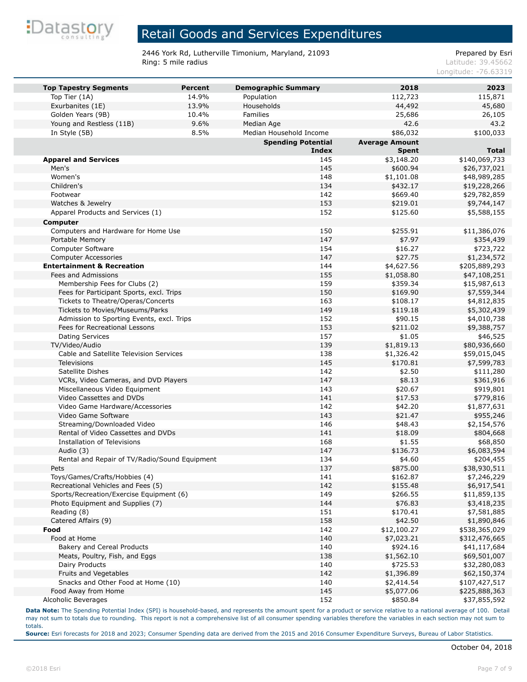

2446 York Rd, Lutherville Timonium, Maryland, 21093<br>Ring: 5 mile radius Prepared by Esri

Latitude: 39.45662 Longitude: -76.63319

| <b>Top Tapestry Segments</b>                                                 | <b>Percent</b> | <b>Demographic Summary</b> | 2018                  | 2023                    |
|------------------------------------------------------------------------------|----------------|----------------------------|-----------------------|-------------------------|
| Top Tier (1A)                                                                | 14.9%          | Population                 | 112,723               | 115,871                 |
| Exurbanites (1E)                                                             | 13.9%          | Households                 | 44,492                | 45,680                  |
| Golden Years (9B)                                                            | 10.4%          | Families                   | 25,686                | 26,105                  |
| Young and Restless (11B)                                                     | 9.6%           | Median Age                 | 42.6                  | 43.2                    |
| In Style (5B)                                                                | 8.5%           | Median Household Income    | \$86,032              | \$100,033               |
|                                                                              |                | <b>Spending Potential</b>  | <b>Average Amount</b> |                         |
|                                                                              |                | <b>Index</b>               | <b>Spent</b>          | <b>Total</b>            |
| <b>Apparel and Services</b>                                                  |                | 145                        | \$3,148.20            | \$140,069,733           |
| Men's                                                                        |                | 145                        | \$600.94              | \$26,737,021            |
| Women's                                                                      |                | 148                        | \$1,101.08            | \$48,989,285            |
| Children's                                                                   |                | 134                        | \$432.17              | \$19,228,266            |
| Footwear                                                                     |                | 142                        | \$669.40              | \$29,782,859            |
| Watches & Jewelry                                                            |                | 153                        | \$219.01              | \$9,744,147             |
| Apparel Products and Services (1)                                            |                | 152                        | \$125.60              | \$5,588,155             |
| <b>Computer</b>                                                              |                |                            |                       |                         |
| Computers and Hardware for Home Use                                          |                | 150                        | \$255.91              | \$11,386,076            |
| Portable Memory                                                              |                | 147                        | \$7.97                | \$354,439               |
| Computer Software                                                            |                | 154                        | \$16.27               | \$723,722               |
| <b>Computer Accessories</b>                                                  |                | 147                        | \$27.75               | \$1,234,572             |
| <b>Entertainment &amp; Recreation</b>                                        |                | 144                        | \$4,627.56            | \$205,889,293           |
| Fees and Admissions                                                          |                | 155                        | \$1,058.80            | \$47,108,251            |
| Membership Fees for Clubs (2)                                                |                | 159                        | \$359.34              | \$15,987,613            |
| Fees for Participant Sports, excl. Trips                                     |                | 150                        | \$169.90              | \$7,559,344             |
| Tickets to Theatre/Operas/Concerts                                           |                | 163<br>149                 | \$108.17              | \$4,812,835             |
| Tickets to Movies/Museums/Parks<br>Admission to Sporting Events, excl. Trips |                | 152                        | \$119.18<br>\$90.15   | \$5,302,439             |
| Fees for Recreational Lessons                                                |                | 153                        | \$211.02              | \$4,010,738             |
| Dating Services                                                              |                | 157                        | \$1.05                | \$9,388,757<br>\$46,525 |
| TV/Video/Audio                                                               |                | 139                        | \$1,819.13            | \$80,936,660            |
| Cable and Satellite Television Services                                      |                | 138                        | \$1,326.42            | \$59,015,045            |
| <b>Televisions</b>                                                           |                | 145                        | \$170.81              | \$7,599,783             |
| Satellite Dishes                                                             |                | 142                        | \$2.50                | \$111,280               |
| VCRs, Video Cameras, and DVD Players                                         |                | 147                        | \$8.13                | \$361,916               |
| Miscellaneous Video Equipment                                                |                | 143                        | \$20.67               | \$919,801               |
| Video Cassettes and DVDs                                                     |                | 141                        | \$17.53               | \$779,816               |
| Video Game Hardware/Accessories                                              |                | 142                        | \$42.20               | \$1,877,631             |
| Video Game Software                                                          |                | 143                        | \$21.47               | \$955,246               |
| Streaming/Downloaded Video                                                   |                | 146                        | \$48.43               | \$2,154,576             |
| Rental of Video Cassettes and DVDs                                           |                | 141                        | \$18.09               | \$804,668               |
| Installation of Televisions                                                  |                | 168                        | \$1.55                | \$68,850                |
| Audio (3)                                                                    |                | 147                        | \$136.73              | \$6,083,594             |
| Rental and Repair of TV/Radio/Sound Equipment                                |                | 134                        | \$4.60                | \$204,455               |
| Pets                                                                         |                | 137                        | \$875.00              | \$38,930,511            |
| Toys/Games/Crafts/Hobbies (4)                                                |                | 141                        | \$162.87              | \$7,246,229             |
| Recreational Vehicles and Fees (5)                                           |                | 142                        | \$155.48              | \$6,917,541             |
| Sports/Recreation/Exercise Equipment (6)                                     |                | 149                        | \$266.55              | \$11,859,135            |
| Photo Equipment and Supplies (7)                                             |                | 144                        | \$76.83               | \$3,418,235             |
| Reading (8)                                                                  |                | 151                        | \$170.41              | \$7,581,885             |
| Catered Affairs (9)                                                          |                | 158                        | \$42.50               | \$1,890,846             |
| Food                                                                         |                | 142                        | \$12,100.27           | \$538,365,029           |
| Food at Home                                                                 |                | 140                        | \$7,023.21            | \$312,476,665           |
| <b>Bakery and Cereal Products</b>                                            |                | 140                        | \$924.16              | \$41,117,684            |
| Meats, Poultry, Fish, and Eggs                                               |                | 138                        | \$1,562.10            | \$69,501,007            |
| Dairy Products                                                               |                | 140                        | \$725.53              | \$32,280,083            |
| Fruits and Vegetables                                                        |                | 142                        | \$1,396.89            | \$62,150,374            |
| Snacks and Other Food at Home (10)                                           |                | 140                        | \$2,414.54            | \$107,427,517           |
| Food Away from Home                                                          |                | 145                        | \$5,077.06            | \$225,888,363           |
| Alcoholic Beverages                                                          |                | 152                        | \$850.84              | \$37,855,592            |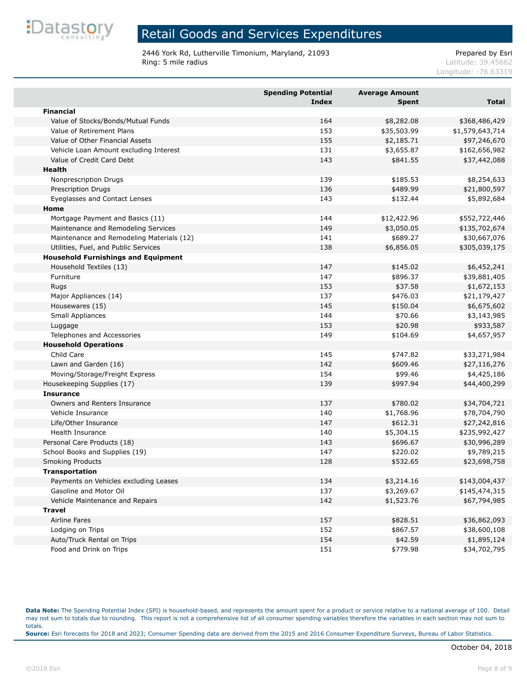

2446 York Rd, Lutherville Timonium, Maryland, 21093<br>Ring: 5 mile radius Prepared by Esri

Latitude: 39.45662

Longitude: -76.63319

|                                            | <b>Spending Potential</b><br><b>Index</b> | <b>Average Amount</b><br><b>Spent</b> | <b>Total</b>    |
|--------------------------------------------|-------------------------------------------|---------------------------------------|-----------------|
| <b>Financial</b>                           |                                           |                                       |                 |
| Value of Stocks/Bonds/Mutual Funds         | 164                                       | \$8,282.08                            | \$368,486,429   |
| Value of Retirement Plans                  | 153                                       | \$35,503.99                           | \$1,579,643,714 |
| Value of Other Financial Assets            | 155                                       | \$2,185.71                            | \$97,246,670    |
| Vehicle Loan Amount excluding Interest     | 131                                       | \$3,655.87                            | \$162,656,982   |
| Value of Credit Card Debt                  | 143                                       | \$841.55                              | \$37,442,088    |
| Health                                     |                                           |                                       |                 |
| Nonprescription Drugs                      | 139                                       | \$185.53                              | \$8,254,633     |
| <b>Prescription Drugs</b>                  | 136                                       | \$489.99                              | \$21,800,597    |
| Eyeglasses and Contact Lenses              | 143                                       | \$132.44                              | \$5,892,684     |
| Home                                       |                                           |                                       |                 |
| Mortgage Payment and Basics (11)           | 144                                       | \$12,422.96                           | \$552,722,446   |
| Maintenance and Remodeling Services        | 149                                       | \$3,050.05                            | \$135,702,674   |
| Maintenance and Remodeling Materials (12)  | 141                                       | \$689.27                              | \$30,667,076    |
| Utilities, Fuel, and Public Services       | 138                                       | \$6,856.05                            | \$305,039,175   |
| <b>Household Furnishings and Equipment</b> |                                           |                                       |                 |
| Household Textiles (13)                    | 147                                       | \$145.02                              | \$6,452,241     |
| Furniture                                  | 147                                       | \$896.37                              | \$39,881,405    |
| Rugs                                       | 153                                       | \$37.58                               | \$1,672,153     |
| Major Appliances (14)                      | 137                                       | \$476.03                              | \$21,179,427    |
| Housewares (15)                            | 145                                       | \$150.04                              | \$6,675,602     |
| Small Appliances                           | 144                                       | \$70.66                               | \$3,143,985     |
| Luggage                                    | 153                                       | \$20.98                               | \$933,587       |
| Telephones and Accessories                 | 149                                       | \$104.69                              | \$4,657,957     |
| <b>Household Operations</b>                |                                           |                                       |                 |
| Child Care                                 | 145                                       | \$747.82                              | \$33,271,984    |
| Lawn and Garden (16)                       | 142                                       | \$609.46                              | \$27,116,276    |
| Moving/Storage/Freight Express             | 154                                       | \$99.46                               | \$4,425,186     |
| Housekeeping Supplies (17)                 | 139                                       | \$997.94                              | \$44,400,299    |
| <b>Insurance</b>                           |                                           |                                       |                 |
| Owners and Renters Insurance               | 137                                       | \$780.02                              | \$34,704,721    |
| Vehicle Insurance                          | 140                                       | \$1,768.96                            | \$78,704,790    |
| Life/Other Insurance                       | 147                                       | \$612.31                              | \$27,242,816    |
| <b>Health Insurance</b>                    | 140                                       | \$5,304.15                            | \$235,992,427   |
| Personal Care Products (18)                | 143                                       | \$696.67                              | \$30,996,289    |
| School Books and Supplies (19)             | 147                                       | \$220.02                              | \$9,789,215     |
| <b>Smoking Products</b>                    | 128                                       | \$532.65                              | \$23,698,758    |
| <b>Transportation</b>                      |                                           |                                       |                 |
| Payments on Vehicles excluding Leases      | 134                                       | \$3,214.16                            | \$143,004,437   |
| Gasoline and Motor Oil                     | 137                                       | \$3,269.67                            | \$145,474,315   |
| Vehicle Maintenance and Repairs            | 142                                       | \$1,523.76                            | \$67,794,985    |
| <b>Travel</b>                              |                                           |                                       |                 |
| Airline Fares                              | 157                                       | \$828.51                              | \$36,862,093    |
| Lodging on Trips                           | 152                                       | \$867.57                              | \$38,600,108    |
| Auto/Truck Rental on Trips                 | 154                                       | \$42.59                               | \$1,895,124     |
| Food and Drink on Trips                    | 151                                       | \$779.98                              | \$34,702,795    |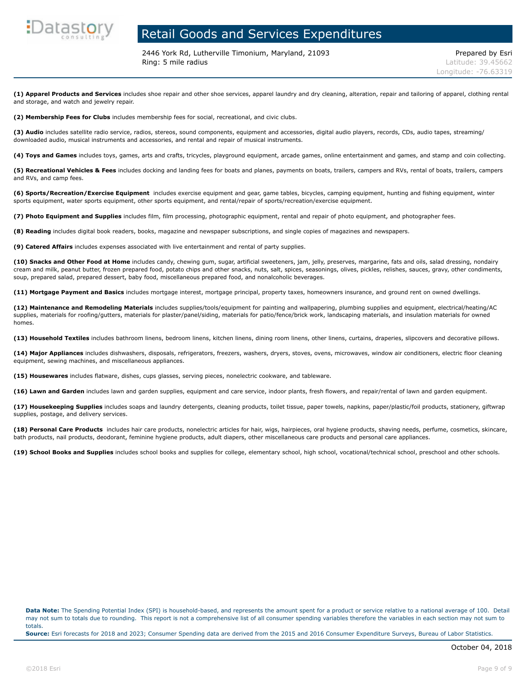

2446 York Rd, Lutherville Timonium, Maryland, 21093 Prepared by Esri **Ring: 5 mile radius Contract Contract Contract Contract Contract Contract Contract Contract Contract Contract Contract Contract Contract Contract Contract Contract Contract Contract Contract Contract Contract Contract C** 

**(1) Apparel Products and Services** includes shoe repair and other shoe services, apparel laundry and dry cleaning, alteration, repair and tailoring of apparel, clothing rental and storage, and watch and jewelry repair.

**(2) Membership Fees for Clubs** includes membership fees for social, recreational, and civic clubs.

**(3) Audio** includes satellite radio service, radios, stereos, sound components, equipment and accessories, digital audio players, records, CDs, audio tapes, streaming/ downloaded audio, musical instruments and accessories, and rental and repair of musical instruments.

**(4) Toys and Games** includes toys, games, arts and crafts, tricycles, playground equipment, arcade games, online entertainment and games, and stamp and coin collecting.

**(5) Recreational Vehicles & Fees** includes docking and landing fees for boats and planes, payments on boats, trailers, campers and RVs, rental of boats, trailers, campers and RVs, and camp fees.

**(6) Sports/Recreation/Exercise Equipment** includes exercise equipment and gear, game tables, bicycles, camping equipment, hunting and fishing equipment, winter sports equipment, water sports equipment, other sports equipment, and rental/repair of sports/recreation/exercise equipment.

**(7) Photo Equipment and Supplies** includes film, film processing, photographic equipment, rental and repair of photo equipment, and photographer fees.

**(8) Reading** includes digital book readers, books, magazine and newspaper subscriptions, and single copies of magazines and newspapers.

**(9) Catered Affairs** includes expenses associated with live entertainment and rental of party supplies.

**(10) Snacks and Other Food at Home** includes candy, chewing gum, sugar, artificial sweeteners, jam, jelly, preserves, margarine, fats and oils, salad dressing, nondairy cream and milk, peanut butter, frozen prepared food, potato chips and other snacks, nuts, salt, spices, seasonings, olives, pickles, relishes, sauces, gravy, other condiments, soup, prepared salad, prepared dessert, baby food, miscellaneous prepared food, and nonalcoholic beverages.

**(11) Mortgage Payment and Basics** includes mortgage interest, mortgage principal, property taxes, homeowners insurance, and ground rent on owned dwellings.

**(12) Maintenance and Remodeling Materials** includes supplies/tools/equipment for painting and wallpapering, plumbing supplies and equipment, electrical/heating/AC supplies, materials for roofing/gutters, materials for plaster/panel/siding, materials for patio/fence/brick work, landscaping materials, and insulation materials for owned homes.

**(13) Household Textiles** includes bathroom linens, bedroom linens, kitchen linens, dining room linens, other linens, curtains, draperies, slipcovers and decorative pillows.

**(14) Major Appliances** includes dishwashers, disposals, refrigerators, freezers, washers, dryers, stoves, ovens, microwaves, window air conditioners, electric floor cleaning equipment, sewing machines, and miscellaneous appliances.

**(15) Housewares** includes flatware, dishes, cups glasses, serving pieces, nonelectric cookware, and tableware.

**(16) Lawn and Garden** includes lawn and garden supplies, equipment and care service, indoor plants, fresh flowers, and repair/rental of lawn and garden equipment.

**(17) Housekeeping Supplies** includes soaps and laundry detergents, cleaning products, toilet tissue, paper towels, napkins, paper/plastic/foil products, stationery, giftwrap supplies, postage, and delivery services.

**(18) Personal Care Products** includes hair care products, nonelectric articles for hair, wigs, hairpieces, oral hygiene products, shaving needs, perfume, cosmetics, skincare, bath products, nail products, deodorant, feminine hygiene products, adult diapers, other miscellaneous care products and personal care appliances.

**(19) School Books and Supplies** includes school books and supplies for college, elementary school, high school, vocational/technical school, preschool and other schools.

**Data Note:** The Spending Potential Index (SPI) is household-based, and represents the amount spent for a product or service relative to a national average of 100. Detail may not sum to totals due to rounding. This report is not a comprehensive list of all consumer spending variables therefore the variables in each section may not sum to totals.

**Source:** Esri forecasts for 2018 and 2023; Consumer Spending data are derived from the 2015 and 2016 Consumer Expenditure Surveys, Bureau of Labor Statistics.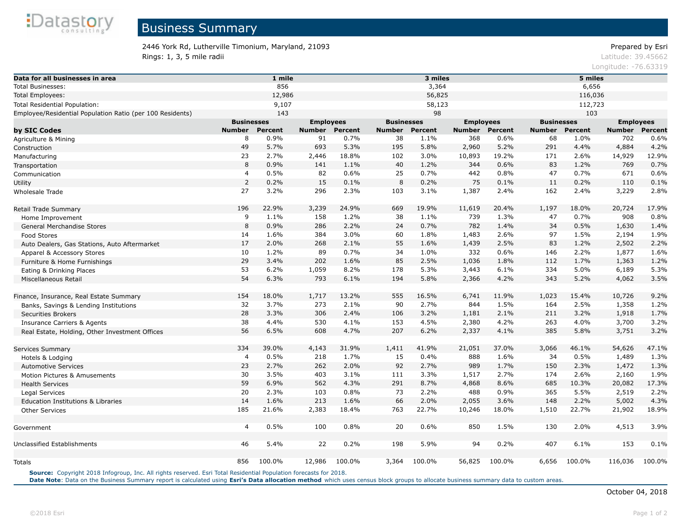

# Business Summary

#### 2446 York Rd, Lutherville Timonium, Maryland, 21093 Prepared by Esri **Rings: 1, 3, 5 mile radii** Latitude: 39.45662

Longitude: -76.63319

| Data for all businesses in area                           | 1 mile            |                |                  |                | 3 miles           |                |                  |                | 5 miles           |                |                  |                |  |
|-----------------------------------------------------------|-------------------|----------------|------------------|----------------|-------------------|----------------|------------------|----------------|-------------------|----------------|------------------|----------------|--|
| <b>Total Businesses:</b>                                  | 856               |                |                  | 3,364          |                   |                |                  | 6,656          |                   |                |                  |                |  |
| <b>Total Employees:</b>                                   | 12,986            |                |                  | 56,825         |                   |                |                  | 116,036        |                   |                |                  |                |  |
| Total Residential Population:                             | 9,107             |                |                  |                | 58,123            |                |                  |                | 112,723           |                |                  |                |  |
| Employee/Residential Population Ratio (per 100 Residents) |                   | 143            |                  |                | 98                |                |                  |                |                   | 103            |                  |                |  |
|                                                           | <b>Businesses</b> |                | <b>Employees</b> |                | <b>Businesses</b> |                | <b>Employees</b> |                | <b>Businesses</b> |                | <b>Employees</b> |                |  |
| by SIC Codes                                              | <b>Number</b>     | <b>Percent</b> | <b>Number</b>    | <b>Percent</b> | <b>Number</b>     | <b>Percent</b> | Number           | <b>Percent</b> | <b>Number</b>     | <b>Percent</b> | <b>Number</b>    | <b>Percent</b> |  |
| Agriculture & Mining                                      | 8                 | 0.9%           | 91               | 0.7%           | 38                | 1.1%           | 368              | 0.6%           | 68                | 1.0%           | 702              | 0.6%           |  |
| Construction                                              | 49                | 5.7%           | 693              | 5.3%           | 195               | 5.8%           | 2,960            | 5.2%           | 291               | 4.4%           | 4,884            | 4.2%           |  |
| Manufacturing                                             | 23                | 2.7%           | 2,446            | 18.8%          | 102               | 3.0%           | 10,893           | 19.2%          | 171               | 2.6%           | 14,929           | 12.9%          |  |
| Transportation                                            | 8                 | 0.9%           | 141              | 1.1%           | 40                | 1.2%           | 344              | 0.6%           | 83                | 1.2%           | 769              | 0.7%           |  |
| Communication                                             | $\overline{4}$    | 0.5%           | 82               | 0.6%           | 25                | 0.7%           | 442              | 0.8%           | 47                | 0.7%           | 671              | 0.6%           |  |
| Utility                                                   | $\overline{2}$    | 0.2%           | 15               | 0.1%           | 8                 | 0.2%           | 75               | 0.1%           | 11                | 0.2%           | 110              | 0.1%           |  |
| Wholesale Trade                                           | 27                | 3.2%           | 296              | 2.3%           | 103               | 3.1%           | 1,387            | 2.4%           | 162               | 2.4%           | 3,229            | 2.8%           |  |
| Retail Trade Summary                                      | 196               | 22.9%          | 3,239            | 24.9%          | 669               | 19.9%          | 11,619           | 20.4%          | 1,197             | 18.0%          | 20,724           | 17.9%          |  |
| Home Improvement                                          | 9                 | 1.1%           | 158              | 1.2%           | 38                | 1.1%           | 739              | 1.3%           | 47                | 0.7%           | 908              | 0.8%           |  |
| <b>General Merchandise Stores</b>                         | 8                 | 0.9%           | 286              | 2.2%           | 24                | 0.7%           | 782              | 1.4%           | 34                | 0.5%           | 1,630            | 1.4%           |  |
| Food Stores                                               | 14                | 1.6%           | 384              | 3.0%           | 60                | 1.8%           | 1,483            | 2.6%           | 97                | 1.5%           | 2,194            | 1.9%           |  |
| Auto Dealers, Gas Stations, Auto Aftermarket              | 17                | 2.0%           | 268              | 2.1%           | 55                | 1.6%           | 1,439            | 2.5%           | 83                | 1.2%           | 2,502            | 2.2%           |  |
| Apparel & Accessory Stores                                | 10                | 1.2%           | 89               | 0.7%           | 34                | 1.0%           | 332              | 0.6%           | 146               | 2.2%           | 1,877            | 1.6%           |  |
| Furniture & Home Furnishings                              | 29                | 3.4%           | 202              | 1.6%           | 85                | 2.5%           | 1,036            | 1.8%           | 112               | 1.7%           | 1,363            | 1.2%           |  |
| Eating & Drinking Places                                  | 53                | 6.2%           | 1,059            | 8.2%           | 178               | 5.3%           | 3,443            | 6.1%           | 334               | 5.0%           | 6,189            | 5.3%           |  |
| Miscellaneous Retail                                      | 54                | 6.3%           | 793              | 6.1%           | 194               | 5.8%           | 2,366            | 4.2%           | 343               | 5.2%           | 4,062            | 3.5%           |  |
| Finance, Insurance, Real Estate Summary                   | 154               | 18.0%          | 1,717            | 13.2%          | 555               | 16.5%          | 6,741            | 11.9%          | 1,023             | 15.4%          | 10,726           | 9.2%           |  |
| Banks, Savings & Lending Institutions                     | 32                | 3.7%           | 273              | 2.1%           | 90                | 2.7%           | 844              | 1.5%           | 164               | 2.5%           | 1,358            | 1.2%           |  |
| <b>Securities Brokers</b>                                 | 28                | 3.3%           | 306              | 2.4%           | 106               | 3.2%           | 1,181            | 2.1%           | 211               | 3.2%           | 1,918            | 1.7%           |  |
| <b>Insurance Carriers &amp; Agents</b>                    | 38                | 4.4%           | 530              | 4.1%           | 153               | 4.5%           | 2,380            | 4.2%           | 263               | 4.0%           | 3,700            | 3.2%           |  |
| Real Estate, Holding, Other Investment Offices            | 56                | 6.5%           | 608              | 4.7%           | 207               | 6.2%           | 2,337            | 4.1%           | 385               | 5.8%           | 3,751            | 3.2%           |  |
| Services Summary                                          | 334               | 39.0%          | 4,143            | 31.9%          | 1,411             | 41.9%          | 21,051           | 37.0%          | 3,066             | 46.1%          | 54,626           | 47.1%          |  |
| Hotels & Lodging                                          | $\overline{4}$    | 0.5%           | 218              | 1.7%           | 15                | 0.4%           | 888              | 1.6%           | 34                | 0.5%           | 1,489            | 1.3%           |  |
| <b>Automotive Services</b>                                | 23                | 2.7%           | 262              | 2.0%           | 92                | 2.7%           | 989              | 1.7%           | 150               | 2.3%           | 1,472            | 1.3%           |  |
| Motion Pictures & Amusements                              | 30                | 3.5%           | 403              | 3.1%           | 111               | 3.3%           | 1,517            | 2.7%           | 174               | 2.6%           | 2,160            | 1.9%           |  |
| <b>Health Services</b>                                    | 59                | 6.9%           | 562              | 4.3%           | 291               | 8.7%           | 4,868            | 8.6%           | 685               | 10.3%          | 20,082           | 17.3%          |  |
| Legal Services                                            | 20                | 2.3%           | 103              | 0.8%           | 73                | 2.2%           | 488              | 0.9%           | 365               | 5.5%           | 2,519            | 2.2%           |  |
| <b>Education Institutions &amp; Libraries</b>             | 14                | 1.6%           | 213              | 1.6%           | 66                | 2.0%           | 2,055            | 3.6%           | 148               | 2.2%           | 5,002            | 4.3%           |  |
| <b>Other Services</b>                                     | 185               | 21.6%          | 2,383            | 18.4%          | 763               | 22.7%          | 10,246           | 18.0%          | 1,510             | 22.7%          | 21,902           | 18.9%          |  |
| Government                                                | $\overline{4}$    | 0.5%           | 100              | 0.8%           | 20                | 0.6%           | 850              | 1.5%           | 130               | 2.0%           | 4,513            | 3.9%           |  |
| Unclassified Establishments                               | 46                | 5.4%           | 22               | 0.2%           | 198               | 5.9%           | 94               | 0.2%           | 407               | 6.1%           | 153              | 0.1%           |  |
| Totals                                                    | 856               | 100.0%         | 12,986           | 100.0%         | 3,364             | 100.0%         | 56,825           | 100.0%         | 6,656             | 100.0%         | 116,036          | 100.0%         |  |

**Source:** Copyright 2018 Infogroup, Inc. All rights reserved. Esri Total Residential Population forecasts for 2018.

Date Note: Data on the Business Summary report is calculated using [Esri's Data allocation method](http://doc.arcgis.com/en/esri-demographics/reference/data-allocation-method.htm) which uses census block groups to allocate business summary data to custom areas.